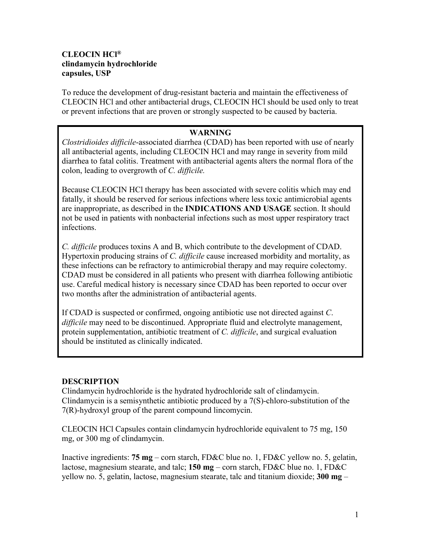## **CLEOCIN HCl® clindamycin hydrochloride capsules, USP**

To reduce the development of drug-resistant bacteria and maintain the effectiveness of CLEOCIN HCl and other antibacterial drugs, CLEOCIN HCl should be used only to treat or prevent infections that are proven or strongly suspected to be caused by bacteria.

## **WARNING**

*Clostridioides difficile*-associated diarrhea (CDAD) has been reported with use of nearly all antibacterial agents, including CLEOCIN HCl and may range in severity from mild diarrhea to fatal colitis. Treatment with antibacterial agents alters the normal flora of the colon, leading to overgrowth of *C. difficile.*

Because CLEOCIN HCl therapy has been associated with severe colitis which may end fatally, it should be reserved for serious infections where less toxic antimicrobial agents are inappropriate, as described in the **INDICATIONS AND USAGE** section. It should not be used in patients with nonbacterial infections such as most upper respiratory tract infections.

*C. difficile* produces toxins A and B, which contribute to the development of CDAD. Hypertoxin producing strains of *C. difficile* cause increased morbidity and mortality, as these infections can be refractory to antimicrobial therapy and may require colectomy. CDAD must be considered in all patients who present with diarrhea following antibiotic use. Careful medical history is necessary since CDAD has been reported to occur over two months after the administration of antibacterial agents.

If CDAD is suspected or confirmed, ongoing antibiotic use not directed against *C*. *difficile* may need to be discontinued. Appropriate fluid and electrolyte management, protein supplementation, antibiotic treatment of *C. difficile*, and surgical evaluation should be instituted as clinically indicated.

## **DESCRIPTION**

Clindamycin hydrochloride is the hydrated hydrochloride salt of clindamycin. Clindamycin is a semisynthetic antibiotic produced by a 7(S)-chloro-substitution of the 7(R)-hydroxyl group of the parent compound lincomycin.

CLEOCIN HCl Capsules contain clindamycin hydrochloride equivalent to 75 mg, 150 mg, or 300 mg of clindamycin.

Inactive ingredients: **75 mg** – corn starch, FD&C blue no. 1, FD&C yellow no. 5, gelatin, lactose, magnesium stearate, and talc; **150 mg** – corn starch, FD&C blue no. 1, FD&C yellow no. 5, gelatin, lactose, magnesium stearate, talc and titanium dioxide; **300 mg** –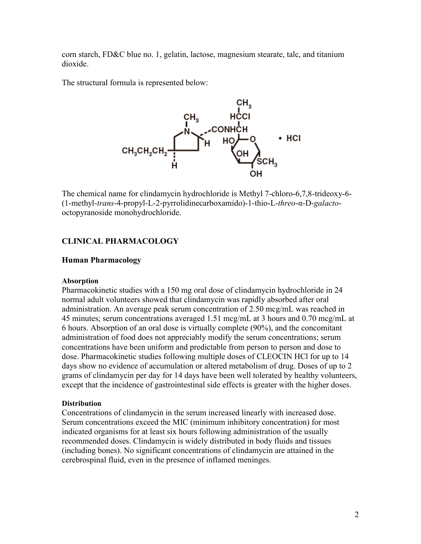corn starch, FD&C blue no. 1, gelatin, lactose, magnesium stearate, talc, and titanium dioxide.

The structural formula is represented below:



The chemical name for clindamycin hydrochloride is Methyl 7-chloro-6,7,8-trideoxy-6- (1-methyl-*trans*-4-propyl-L-2-pyrrolidinecarboxamido)-1-thio-L-*threo*-α-D-*galacto*octopyranoside monohydrochloride.

#### **CLINICAL PHARMACOLOGY**

#### **Human Pharmacology**

#### **Absorption**

Pharmacokinetic studies with a 150 mg oral dose of clindamycin hydrochloride in 24 normal adult volunteers showed that clindamycin was rapidly absorbed after oral administration. An average peak serum concentration of 2.50 mcg/mL was reached in 45 minutes; serum concentrations averaged 1.51 mcg/mL at 3 hours and 0.70 mcg/mL at 6 hours. Absorption of an oral dose is virtually complete (90%), and the concomitant administration of food does not appreciably modify the serum concentrations; serum concentrations have been uniform and predictable from person to person and dose to dose. Pharmacokinetic studies following multiple doses of CLEOCIN HCl for up to 14 days show no evidence of accumulation or altered metabolism of drug. Doses of up to 2 grams of clindamycin per day for 14 days have been well tolerated by healthy volunteers, except that the incidence of gastrointestinal side effects is greater with the higher doses.

#### **Distribution**

Concentrations of clindamycin in the serum increased linearly with increased dose. Serum concentrations exceed the MIC (minimum inhibitory concentration) for most indicated organisms for at least six hours following administration of the usually recommended doses. Clindamycin is widely distributed in body fluids and tissues (including bones). No significant concentrations of clindamycin are attained in the cerebrospinal fluid, even in the presence of inflamed meninges.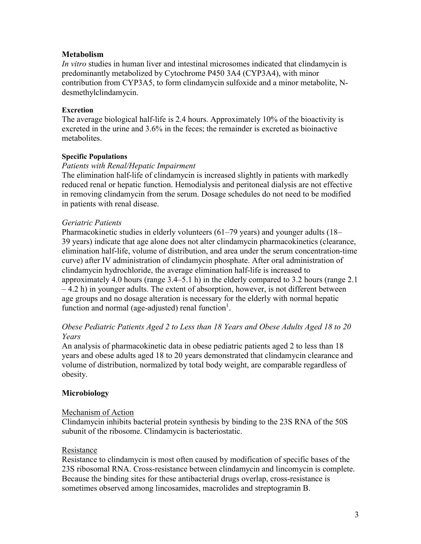## **Metabolism**

*In vitro* studies in human liver and intestinal microsomes indicated that clindamycin is predominantly metabolized by Cytochrome P450 3A4 (CYP3A4), with minor contribution from CYP3A5, to form clindamycin sulfoxide and a minor metabolite, Ndesmethylclindamycin.

## **Excretion**

The average biological half-life is 2.4 hours. Approximately 10% of the bioactivity is excreted in the urine and 3.6% in the feces; the remainder is excreted as bioinactive metabolites.

## **Specific Populations**

## *Patients with Renal/Hepatic Impairment*

The elimination half-life of clindamycin is increased slightly in patients with markedly reduced renal or hepatic function. Hemodialysis and peritoneal dialysis are not effective in removing clindamycin from the serum. Dosage schedules do not need to be modified in patients with renal disease.

## *Geriatric Patients*

Pharmacokinetic studies in elderly volunteers (61–79 years) and younger adults (18– 39 years) indicate that age alone does not alter clindamycin pharmacokinetics (clearance, elimination half-life, volume of distribution, and area under the serum concentration-time curve) after IV administration of clindamycin phosphate. After oral administration of clindamycin hydrochloride, the average elimination half-life is increased to approximately 4.0 hours (range 3.4–5.1 h) in the elderly compared to 3.2 hours (range 2.1  $-4.2$  h) in younger adults. The extent of absorption, however, is not different between age groups and no dosage alteration is necessary for the elderly with normal hepatic function and normal (age-adjusted) renal function<sup>1</sup>.

## *Obese Pediatric Patients Aged 2 to Less than 18 Years and Obese Adults Aged 18 to 20 Years*

An analysis of pharmacokinetic data in obese pediatric patients aged 2 to less than 18 years and obese adults aged 18 to 20 years demonstrated that clindamycin clearance and volume of distribution, normalized by total body weight, are comparable regardless of obesity.

## **Microbiology**

## Mechanism of Action

Clindamycin inhibits bacterial protein synthesis by binding to the 23S RNA of the 50S subunit of the ribosome. Clindamycin is bacteriostatic.

## Resistance

Resistance to clindamycin is most often caused by modification of specific bases of the 23S ribosomal RNA. Cross-resistance between clindamycin and lincomycin is complete. Because the binding sites for these antibacterial drugs overlap, cross-resistance is sometimes observed among lincosamides, macrolides and streptogramin B.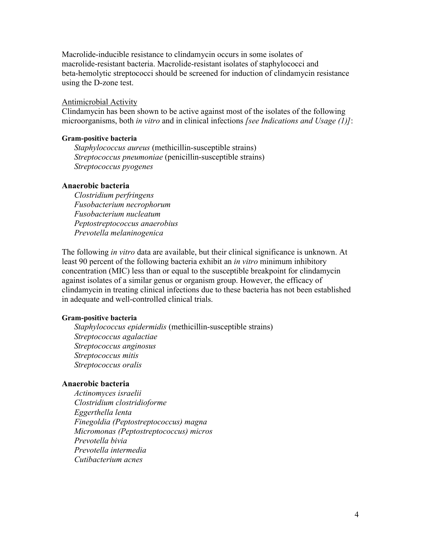Macrolide-inducible resistance to clindamycin occurs in some isolates of macrolide-resistant bacteria. Macrolide-resistant isolates of staphylococci and beta-hemolytic streptococci should be screened for induction of clindamycin resistance using the D-zone test.

#### Antimicrobial Activity

Clindamycin has been shown to be active against most of the isolates of the following microorganisms, both *in vitro* and in clinical infections *[see Indications and Usage (1)]*:

#### **Gram-positive bacteria**

*Staphylococcus aureus* (methicillin-susceptible strains) *Streptococcus pneumoniae* (penicillin-susceptible strains) *Streptococcus pyogenes*

## **Anaerobic bacteria**

*Clostridium perfringens Fusobacterium necrophorum Fusobacterium nucleatum Peptostreptococcus anaerobius Prevotella melaninogenica*

The following *in vitro* data are available, but their clinical significance is unknown. At least 90 percent of the following bacteria exhibit an *in vitro* minimum inhibitory concentration (MIC) less than or equal to the susceptible breakpoint for clindamycin against isolates of a similar genus or organism group. However, the efficacy of clindamycin in treating clinical infections due to these bacteria has not been established in adequate and well-controlled clinical trials.

#### **Gram-positive bacteria**

*Staphylococcus epidermidis* (methicillin-susceptible strains) *Streptococcus agalactiae Streptococcus anginosus Streptococcus mitis Streptococcus oralis*

#### **Anaerobic bacteria**

*Actinomyces israelii Clostridium clostridioforme Eggerthella lenta Finegoldia (Peptostreptococcus) magna Micromonas (Peptostreptococcus) micros Prevotella bivia Prevotella intermedia Cutibacterium acnes*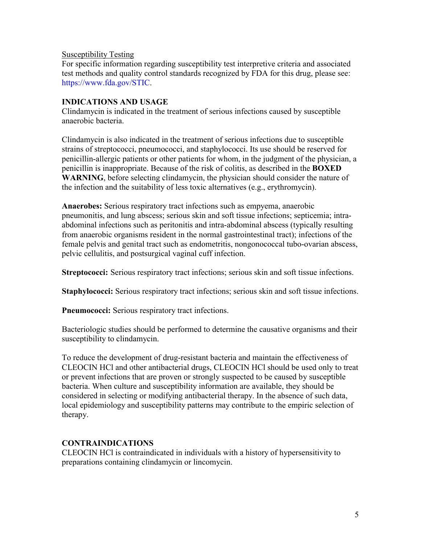## Susceptibility Testing

For specific information regarding susceptibility test interpretive criteria and associated test methods and quality control standards recognized by FDA for this drug, please see: <https://www.fda.gov/STIC>.

## **INDICATIONS AND USAGE**

Clindamycin is indicated in the treatment of serious infections caused by susceptible anaerobic bacteria.

Clindamycin is also indicated in the treatment of serious infections due to susceptible strains of streptococci, pneumococci, and staphylococci. Its use should be reserved for penicillin-allergic patients or other patients for whom, in the judgment of the physician, a penicillin is inappropriate. Because of the risk of colitis, as described in the **BOXED**  WARNING, before selecting clindamycin, the physician should consider the nature of the infection and the suitability of less toxic alternatives (e.g., erythromycin).

**Anaerobes:** Serious respiratory tract infections such as empyema, anaerobic pneumonitis, and lung abscess; serious skin and soft tissue infections; septicemia; intraabdominal infections such as peritonitis and intra-abdominal abscess (typically resulting from anaerobic organisms resident in the normal gastrointestinal tract); infections of the female pelvis and genital tract such as endometritis, nongonococcal tubo-ovarian abscess, pelvic cellulitis, and postsurgical vaginal cuff infection.

**Streptococci:** Serious respiratory tract infections; serious skin and soft tissue infections.

**Staphylococci:** Serious respiratory tract infections; serious skin and soft tissue infections.

**Pneumococci:** Serious respiratory tract infections.

Bacteriologic studies should be performed to determine the causative organisms and their susceptibility to clindamycin.

To reduce the development of drug-resistant bacteria and maintain the effectiveness of CLEOCIN HCl and other antibacterial drugs, CLEOCIN HCl should be used only to treat or prevent infections that are proven or strongly suspected to be caused by susceptible bacteria. When culture and susceptibility information are available, they should be considered in selecting or modifying antibacterial therapy. In the absence of such data, local epidemiology and susceptibility patterns may contribute to the empiric selection of therapy.

## **CONTRAINDICATIONS**

CLEOCIN HCl is contraindicated in individuals with a history of hypersensitivity to preparations containing clindamycin or lincomycin.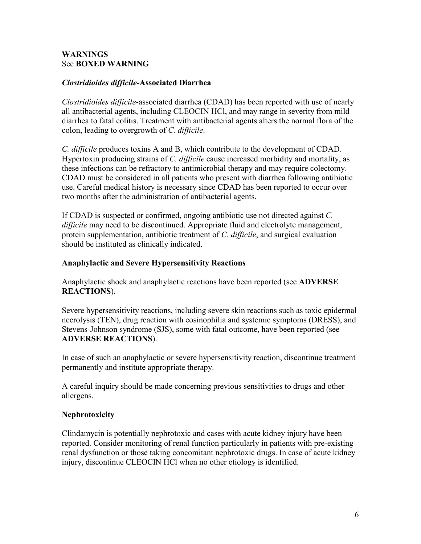## **WARNINGS** See **BOXED WARNING**

## *Clostridioides difficile-***Associated Diarrhea**

*Clostridioides difficile*-associated diarrhea (CDAD) has been reported with use of nearly all antibacterial agents, including CLEOCIN HCl, and may range in severity from mild diarrhea to fatal colitis. Treatment with antibacterial agents alters the normal flora of the colon, leading to overgrowth of *C. difficile*.

*C. difficile* produces toxins A and B, which contribute to the development of CDAD. Hypertoxin producing strains of *C. difficile* cause increased morbidity and mortality, as these infections can be refractory to antimicrobial therapy and may require colectomy. CDAD must be considered in all patients who present with diarrhea following antibiotic use. Careful medical history is necessary since CDAD has been reported to occur over two months after the administration of antibacterial agents.

If CDAD is suspected or confirmed, ongoing antibiotic use not directed against *C. difficile* may need to be discontinued. Appropriate fluid and electrolyte management, protein supplementation, antibiotic treatment of *C. difficile*, and surgical evaluation should be instituted as clinically indicated.

## **Anaphylactic and Severe Hypersensitivity Reactions**

Anaphylactic shock and anaphylactic reactions have been reported (see **ADVERSE REACTIONS**).

Severe hypersensitivity reactions, including severe skin reactions such as toxic epidermal necrolysis (TEN), drug reaction with eosinophilia and systemic symptoms (DRESS), and Stevens-Johnson syndrome (SJS), some with fatal outcome, have been reported (see **ADVERSE REACTIONS**).

In case of such an anaphylactic or severe hypersensitivity reaction, discontinue treatment permanently and institute appropriate therapy.

A careful inquiry should be made concerning previous sensitivities to drugs and other allergens.

## **Nephrotoxicity**

Clindamycin is potentially nephrotoxic and cases with acute kidney injury have been reported. Consider monitoring of renal function particularly in patients with pre-existing renal dysfunction or those taking concomitant nephrotoxic drugs. In case of acute kidney injury, discontinue CLEOCIN HCl when no other etiology is identified.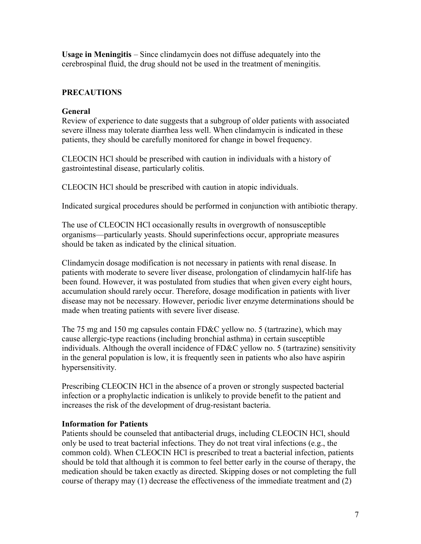**Usage in Meningitis** – Since clindamycin does not diffuse adequately into the cerebrospinal fluid, the drug should not be used in the treatment of meningitis.

# **PRECAUTIONS**

## **General**

Review of experience to date suggests that a subgroup of older patients with associated severe illness may tolerate diarrhea less well. When clindamycin is indicated in these patients, they should be carefully monitored for change in bowel frequency.

CLEOCIN HCl should be prescribed with caution in individuals with a history of gastrointestinal disease, particularly colitis.

CLEOCIN HCl should be prescribed with caution in atopic individuals.

Indicated surgical procedures should be performed in conjunction with antibiotic therapy.

The use of CLEOCIN HCl occasionally results in overgrowth of nonsusceptible organisms—particularly yeasts. Should superinfections occur, appropriate measures should be taken as indicated by the clinical situation.

Clindamycin dosage modification is not necessary in patients with renal disease. In patients with moderate to severe liver disease, prolongation of clindamycin half-life has been found. However, it was postulated from studies that when given every eight hours, accumulation should rarely occur. Therefore, dosage modification in patients with liver disease may not be necessary. However, periodic liver enzyme determinations should be made when treating patients with severe liver disease.

The 75 mg and 150 mg capsules contain FD&C yellow no. 5 (tartrazine), which may cause allergic-type reactions (including bronchial asthma) in certain susceptible individuals. Although the overall incidence of FD&C yellow no. 5 (tartrazine) sensitivity in the general population is low, it is frequently seen in patients who also have aspirin hypersensitivity.

Prescribing CLEOCIN HCl in the absence of a proven or strongly suspected bacterial infection or a prophylactic indication is unlikely to provide benefit to the patient and increases the risk of the development of drug-resistant bacteria.

## **Information for Patients**

Patients should be counseled that antibacterial drugs, including CLEOCIN HCl, should only be used to treat bacterial infections. They do not treat viral infections (e.g., the common cold). When CLEOCIN HCl is prescribed to treat a bacterial infection, patients should be told that although it is common to feel better early in the course of therapy, the medication should be taken exactly as directed. Skipping doses or not completing the full course of therapy may (1) decrease the effectiveness of the immediate treatment and (2)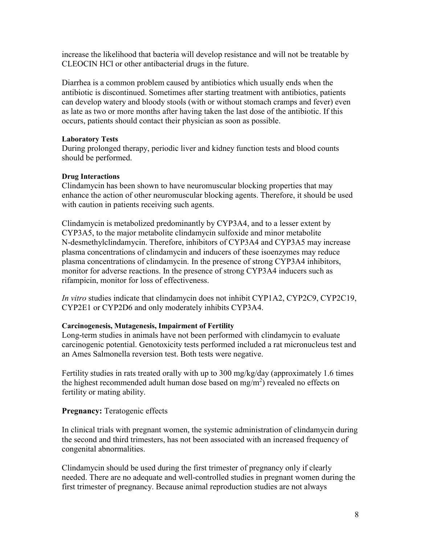increase the likelihood that bacteria will develop resistance and will not be treatable by CLEOCIN HCl or other antibacterial drugs in the future.

Diarrhea is a common problem caused by antibiotics which usually ends when the antibiotic is discontinued. Sometimes after starting treatment with antibiotics, patients can develop watery and bloody stools (with or without stomach cramps and fever) even as late as two or more months after having taken the last dose of the antibiotic. If this occurs, patients should contact their physician as soon as possible.

## **Laboratory Tests**

During prolonged therapy, periodic liver and kidney function tests and blood counts should be performed.

#### **Drug Interactions**

Clindamycin has been shown to have neuromuscular blocking properties that may enhance the action of other neuromuscular blocking agents. Therefore, it should be used with caution in patients receiving such agents.

Clindamycin is metabolized predominantly by CYP3A4, and to a lesser extent by CYP3A5, to the major metabolite clindamycin sulfoxide and minor metabolite N-desmethylclindamycin. Therefore, inhibitors of CYP3A4 and CYP3A5 may increase plasma concentrations of clindamycin and inducers of these isoenzymes may reduce plasma concentrations of clindamycin. In the presence of strong CYP3A4 inhibitors, monitor for adverse reactions. In the presence of strong CYP3A4 inducers such as rifampicin, monitor for loss of effectiveness.

*In vitro* studies indicate that clindamycin does not inhibit CYP1A2, CYP2C9, CYP2C19, CYP2E1 or CYP2D6 and only moderately inhibits CYP3A4.

## **Carcinogenesis, Mutagenesis, Impairment of Fertility**

Long-term studies in animals have not been performed with clindamycin to evaluate carcinogenic potential. Genotoxicity tests performed included a rat micronucleus test and an Ames Salmonella reversion test. Both tests were negative.

Fertility studies in rats treated orally with up to 300 mg/kg/day (approximately 1.6 times the highest recommended adult human dose based on mg/m<sup>2</sup>) revealed no effects on fertility or mating ability.

## **Pregnancy:** Teratogenic effects

In clinical trials with pregnant women, the systemic administration of clindamycin during the second and third trimesters, has not been associated with an increased frequency of congenital abnormalities.

Clindamycin should be used during the first trimester of pregnancy only if clearly needed. There are no adequate and well-controlled studies in pregnant women during the first trimester of pregnancy. Because animal reproduction studies are not always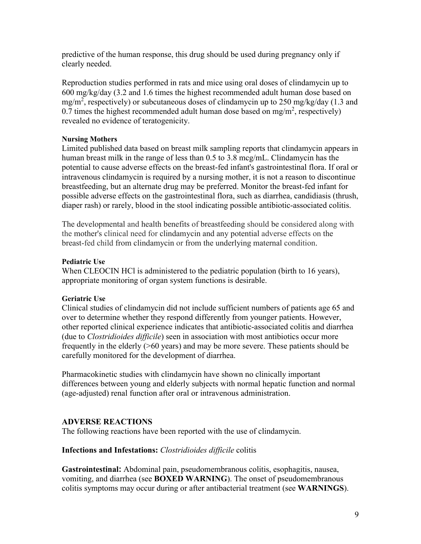predictive of the human response, this drug should be used during pregnancy only if clearly needed.

Reproduction studies performed in rats and mice using oral doses of clindamycin up to 600 mg/kg/day (3.2 and 1.6 times the highest recommended adult human dose based on mg/m<sup>2</sup>, respectively) or subcutaneous doses of clindamycin up to 250 mg/kg/day (1.3 and 0.7 times the highest recommended adult human dose based on mg/m<sup>2</sup>, respectively) revealed no evidence of teratogenicity.

## **Nursing Mothers**

Limited published data based on breast milk sampling reports that clindamycin appears in human breast milk in the range of less than 0.5 to 3.8 mcg/mL. Clindamycin has the potential to cause adverse effects on the breast-fed infant's gastrointestinal flora. If oral or intravenous clindamycin is required by a nursing mother, it is not a reason to discontinue breastfeeding, but an alternate drug may be preferred. Monitor the breast-fed infant for possible adverse effects on the gastrointestinal flora, such as diarrhea, candidiasis (thrush, diaper rash) or rarely, blood in the stool indicating possible antibiotic-associated colitis.

The developmental and health benefits of breastfeeding should be considered along with the mother's clinical need for clindamycin and any potential adverse effects on the breast-fed child from clindamycin or from the underlying maternal condition.

#### **Pediatric Use**

When CLEOCIN HCl is administered to the pediatric population (birth to 16 years), appropriate monitoring of organ system functions is desirable.

## **Geriatric Use**

Clinical studies of clindamycin did not include sufficient numbers of patients age 65 and over to determine whether they respond differently from younger patients. However, other reported clinical experience indicates that antibiotic-associated colitis and diarrhea (due to *Clostridioides difficile*) seen in association with most antibiotics occur more frequently in the elderly (>60 years) and may be more severe. These patients should be carefully monitored for the development of diarrhea.

Pharmacokinetic studies with clindamycin have shown no clinically important differences between young and elderly subjects with normal hepatic function and normal (age-adjusted) renal function after oral or intravenous administration.

## **ADVERSE REACTIONS**

The following reactions have been reported with the use of clindamycin.

## **Infections and Infestations:** *Clostridioides difficile* colitis

**Gastrointestinal:** Abdominal pain, pseudomembranous colitis, esophagitis, nausea, vomiting, and diarrhea (see **BOXED WARNING**). The onset of pseudomembranous colitis symptoms may occur during or after antibacterial treatment (see **WARNINGS**).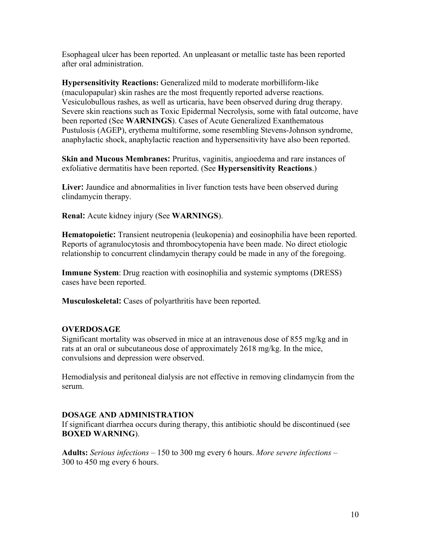Esophageal ulcer has been reported. An unpleasant or metallic taste has been reported after oral administration.

**Hypersensitivity Reactions:** Generalized mild to moderate morbilliform-like (maculopapular) skin rashes are the most frequently reported adverse reactions. Vesiculobullous rashes, as well as urticaria, have been observed during drug therapy. Severe skin reactions such as Toxic Epidermal Necrolysis, some with fatal outcome, have been reported (See **WARNINGS**). Cases of Acute Generalized Exanthematous Pustulosis (AGEP), erythema multiforme, some resembling Stevens-Johnson syndrome, anaphylactic shock, anaphylactic reaction and hypersensitivity have also been reported.

**Skin and Mucous Membranes:** Pruritus, vaginitis, angioedema and rare instances of exfoliative dermatitis have been reported. (See **Hypersensitivity Reactions**.)

**Liver:** Jaundice and abnormalities in liver function tests have been observed during clindamycin therapy.

**Renal:** Acute kidney injury (See **WARNINGS**).

**Hematopoietic:** Transient neutropenia (leukopenia) and eosinophilia have been reported. Reports of agranulocytosis and thrombocytopenia have been made. No direct etiologic relationship to concurrent clindamycin therapy could be made in any of the foregoing.

**Immune System**: Drug reaction with eosinophilia and systemic symptoms (DRESS) cases have been reported.

**Musculoskeletal:** Cases of polyarthritis have been reported.

## **OVERDOSAGE**

Significant mortality was observed in mice at an intravenous dose of 855 mg/kg and in rats at an oral or subcutaneous dose of approximately 2618 mg/kg. In the mice, convulsions and depression were observed.

Hemodialysis and peritoneal dialysis are not effective in removing clindamycin from the serum.

## **DOSAGE AND ADMINISTRATION**

If significant diarrhea occurs during therapy, this antibiotic should be discontinued (see **BOXED WARNING**).

**Adults:** *Serious infections* – 150 to 300 mg every 6 hours. *More severe infections* – 300 to 450 mg every 6 hours.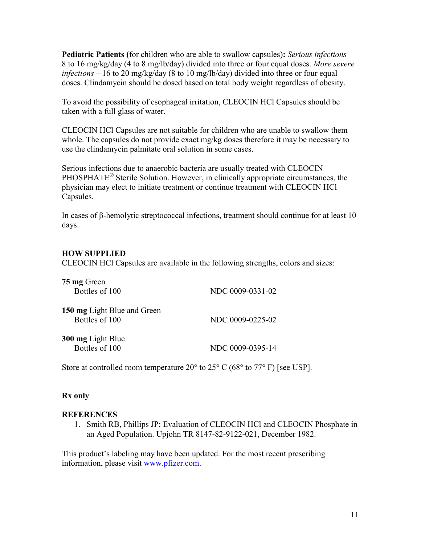**Pediatric Patients (**for children who are able to swallow capsules)**:** *Serious infections* – 8 to 16 mg/kg/day (4 to 8 mg/lb/day) divided into three or four equal doses. *More severe infections* – 16 to 20 mg/kg/day (8 to 10 mg/lb/day) divided into three or four equal doses. Clindamycin should be dosed based on total body weight regardless of obesity.

To avoid the possibility of esophageal irritation, CLEOCIN HCl Capsules should be taken with a full glass of water.

CLEOCIN HCl Capsules are not suitable for children who are unable to swallow them whole. The capsules do not provide exact mg/kg doses therefore it may be necessary to use the clindamycin palmitate oral solution in some cases.

Serious infections due to anaerobic bacteria are usually treated with CLEOCIN PHOSPHATE® Sterile Solution. However, in clinically appropriate circumstances, the physician may elect to initiate treatment or continue treatment with CLEOCIN HCl Capsules.

In cases of β-hemolytic streptococcal infections, treatment should continue for at least 10 days.

## **HOW SUPPLIED**

CLEOCIN HCl Capsules are available in the following strengths, colors and sizes:

| 75 mg Green<br>Bottles of 100                 | NDC 0009-0331-02 |
|-----------------------------------------------|------------------|
| 150 mg Light Blue and Green<br>Bottles of 100 | NDC 0009-0225-02 |
| <b>300 mg Light Blue</b><br>Bottles of 100    | NDC 0009-0395-14 |

Store at controlled room temperature 20 $\degree$  to 25 $\degree$  C (68 $\degree$  to 77 $\degree$  F) [see USP].

## **Rx only**

## **REFERENCES**

1. Smith RB, Phillips JP: Evaluation of CLEOCIN HCl and CLEOCIN Phosphate in an Aged Population. Upjohn TR 8147-82-9122-021, December 1982.

This product's labeling may have been updated. For the most recent prescribing information, please visit [www.pfizer.com.](http://www.pfizer.com/)